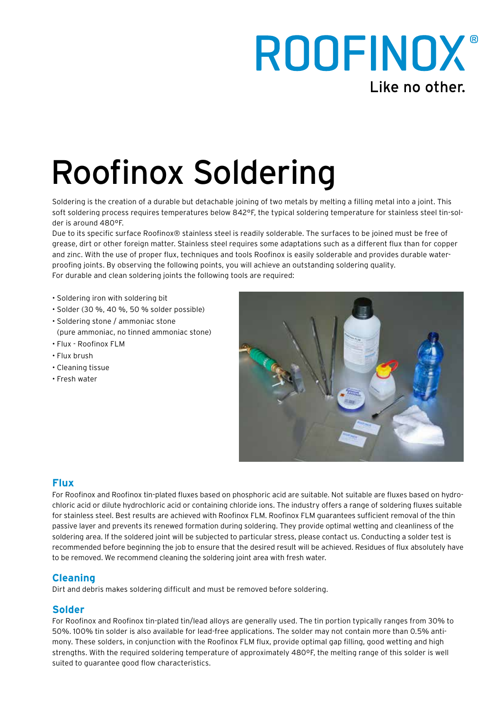## ROOFINOX® Like no other.

# Roofinox Soldering

Soldering is the creation of a durable but detachable joining of two metals by melting a filling metal into a joint. This soft soldering process requires temperatures below 842°F, the typical soldering temperature for stainless steel tin-solder is around 480°F.

Due to its specific surface Roofinox® stainless steel is readily solderable. The surfaces to be joined must be free of grease, dirt or other foreign matter. Stainless steel requires some adaptations such as a different flux than for copper and zinc. With the use of proper flux, techniques and tools Roofinox is easily solderable and provides durable waterproofing joints. By observing the following points, you will achieve an outstanding soldering quality. For durable and clean soldering joints the following tools are required:

- Soldering iron with soldering bit
- Solder (30 %, 40 %, 50 % solder possible)
- Soldering stone / ammoniac stone
- (pure ammoniac, no tinned ammoniac stone)
- Flux Roofinox FLM
- Flux brush
- Cleaning tissue
- Fresh water



### **Flux**

For Roofinox and Roofinox tin-plated fluxes based on phosphoric acid are suitable. Not suitable are fluxes based on hydrochloric acid or dilute hydrochloric acid or containing chloride ions. The industry offers a range of soldering fluxes suitable for stainless steel. Best results are achieved with Roofinox FLM. Roofinox FLM guarantees sufficient removal of the thin passive layer and prevents its renewed formation during soldering. They provide optimal wetting and cleanliness of the soldering area. If the soldered joint will be subjected to particular stress, please contact us. Conducting a solder test is recommended before beginning the job to ensure that the desired result will be achieved. Residues of flux absolutely have to be removed. We recommend cleaning the soldering joint area with fresh water.

#### **Cleaning**

Dirt and debris makes soldering difficult and must be removed before soldering.

#### **Solder**

For Roofinox and Roofinox tin-plated tin/lead alloys are generally used. The tin portion typically ranges from 30% to 50%. 100% tin solder is also available for lead-free applications. The solder may not contain more than 0.5% antimony. These solders, in conjunction with the Roofinox FLM flux, provide optimal gap filling, good wetting and high strengths. With the required soldering temperature of approximately 480ºF, the melting range of this solder is well suited to guarantee good flow characteristics.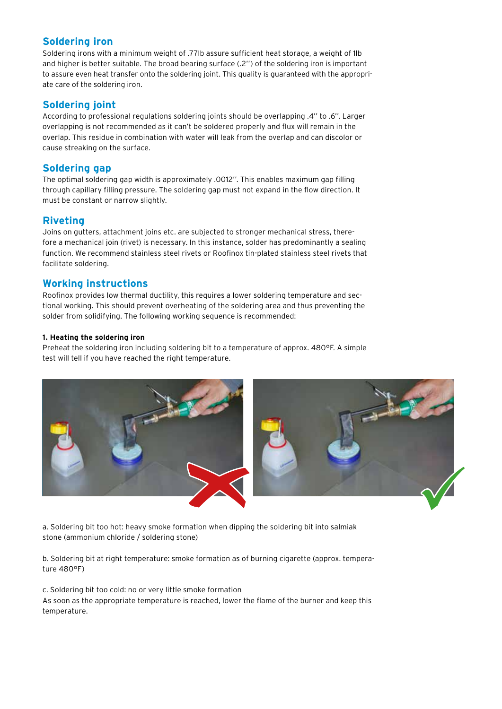#### **Soldering iron**

Soldering irons with a minimum weight of .77lb assure sufficient heat storage, a weight of 1lb and higher is better suitable. The broad bearing surface (.2'') of the soldering iron is important to assure even heat transfer onto the soldering joint. This quality is guaranteed with the appropriate care of the soldering iron.

#### **Soldering joint**

According to professional regulations soldering joints should be overlapping .4'' to .6''. Larger overlapping is not recommended as it can't be soldered properly and flux will remain in the overlap. This residue in combination with water will leak from the overlap and can discolor or cause streaking on the surface.

#### **Soldering gap**

The optimal soldering gap width is approximately .0012''. This enables maximum gap filling through capillary filling pressure. The soldering gap must not expand in the flow direction. It must be constant or narrow slightly.

#### **Riveting**

Joins on gutters, attachment joins etc. are subjected to stronger mechanical stress, therefore a mechanical join (rivet) is necessary. In this instance, solder has predominantly a sealing function. We recommend stainless steel rivets or Roofinox tin-plated stainless steel rivets that facilitate soldering.

#### **Working instructions**

Roofinox provides low thermal ductility, this requires a lower soldering temperature and sectional working. This should prevent overheating of the soldering area and thus preventing the solder from solidifying. The following working sequence is recommended:

#### **1. Heating the soldering iron**

Preheat the soldering iron including soldering bit to a temperature of approx. 480°F. A simple test will tell if you have reached the right temperature.



a. Soldering bit too hot: heavy smoke formation when dipping the soldering bit into salmiak stone (ammonium chloride / soldering stone)

b. Soldering bit at right temperature: smoke formation as of burning cigarette (approx. temperature 480°F)

c. Soldering bit too cold: no or very little smoke formation As soon as the appropriate temperature is reached, lower the flame of the burner and keep this temperature.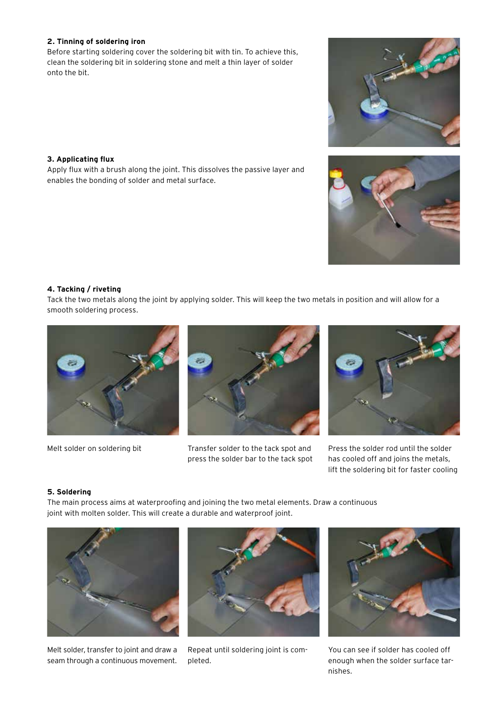#### **2. Tinning of soldering iron**

Before starting soldering cover the soldering bit with tin. To achieve this, clean the soldering bit in soldering stone and melt a thin layer of solder onto the bit.

#### **3. Applicating flux**

Apply flux with a brush along the joint. This dissolves the passive layer and enables the bonding of solder and metal surface.



#### **4. Tacking / riveting**

Tack the two metals along the joint by applying solder. This will keep the two metals in position and will allow for a smooth soldering process.





Melt solder on soldering bit Transfer solder to the tack spot and press the solder bar to the tack spot



Press the solder rod until the solder has cooled off and joins the metals, lift the soldering bit for faster cooling

#### **5. Soldering**

The main process aims at waterproofing and joining the two metal elements. Draw a continuous joint with molten solder. This will create a durable and waterproof joint.



Melt solder, transfer to joint and draw a seam through a continuous movement.



Repeat until soldering joint is completed.



You can see if solder has cooled off enough when the solder surface tarnishes.